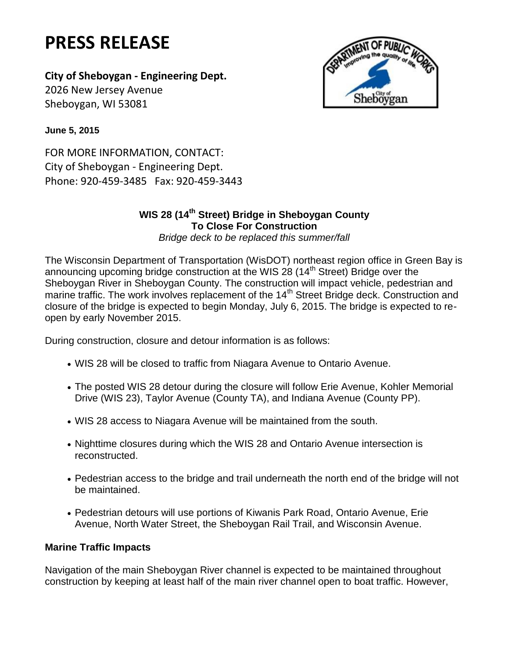# **PRESS RELEASE**

## **City of Sheboygan - Engineering Dept.**

2026 New Jersey Avenue Sheboygan, WI 53081



**June 5, 2015**

FOR MORE INFORMATION, CONTACT: City of Sheboygan - Engineering Dept. Phone: 920-459-3485 Fax: 920-459-3443

### **WIS 28 (14th Street) Bridge in Sheboygan County To Close For Construction**

*Bridge deck to be replaced this summer/fall*

The Wisconsin Department of Transportation (WisDOT) northeast region office in Green Bay is announcing upcoming bridge construction at the WIS 28 (14<sup>th</sup> Street) Bridge over the Sheboygan River in Sheboygan County. The construction will impact vehicle, pedestrian and marine traffic. The work involves replacement of the 14<sup>th</sup> Street Bridge deck. Construction and closure of the bridge is expected to begin Monday, July 6, 2015. The bridge is expected to reopen by early November 2015.

During construction, closure and detour information is as follows:

- WIS 28 will be closed to traffic from Niagara Avenue to Ontario Avenue.
- The posted WIS 28 detour during the closure will follow Erie Avenue, Kohler Memorial Drive (WIS 23), Taylor Avenue (County TA), and Indiana Avenue (County PP).
- WIS 28 access to Niagara Avenue will be maintained from the south.
- Nighttime closures during which the WIS 28 and Ontario Avenue intersection is reconstructed.
- Pedestrian access to the bridge and trail underneath the north end of the bridge will not be maintained.
- Pedestrian detours will use portions of Kiwanis Park Road, Ontario Avenue, Erie Avenue, North Water Street, the Sheboygan Rail Trail, and Wisconsin Avenue.

### **Marine Traffic Impacts**

Navigation of the main Sheboygan River channel is expected to be maintained throughout construction by keeping at least half of the main river channel open to boat traffic. However,